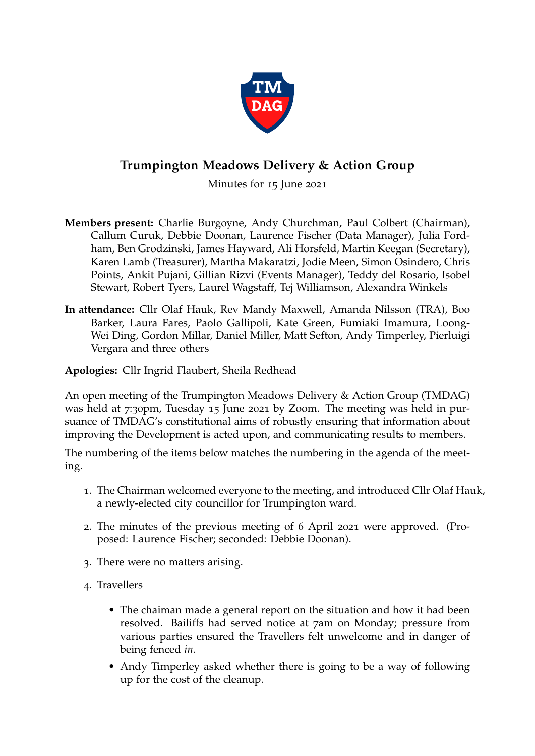

## **Trumpington Meadows Delivery & Action Group**

Minutes for 15 June 2021

- **Members present:** Charlie Burgoyne, Andy Churchman, Paul Colbert (Chairman), Callum Curuk, Debbie Doonan, Laurence Fischer (Data Manager), Julia Fordham, Ben Grodzinski, James Hayward, Ali Horsfeld, Martin Keegan (Secretary), Karen Lamb (Treasurer), Martha Makaratzi, Jodie Meen, Simon Osindero, Chris Points, Ankit Pujani, Gillian Rizvi (Events Manager), Teddy del Rosario, Isobel Stewart, Robert Tyers, Laurel Wagstaff, Tej Williamson, Alexandra Winkels
- **In attendance:** Cllr Olaf Hauk, Rev Mandy Maxwell, Amanda Nilsson (TRA), Boo Barker, Laura Fares, Paolo Gallipoli, Kate Green, Fumiaki Imamura, Loong-Wei Ding, Gordon Millar, Daniel Miller, Matt Sefton, Andy Timperley, Pierluigi Vergara and three others

## **Apologies:** Cllr Ingrid Flaubert, Sheila Redhead

An open meeting of the Trumpington Meadows Delivery & Action Group (TMDAG) was held at 7:30pm, Tuesday 15 June 2021 by Zoom. The meeting was held in pursuance of TMDAG's constitutional aims of robustly ensuring that information about improving the Development is acted upon, and communicating results to members.

The numbering of the items below matches the numbering in the agenda of the meeting.

- 1. The Chairman welcomed everyone to the meeting, and introduced Cllr Olaf Hauk, a newly-elected city councillor for Trumpington ward.
- 2. The minutes of the previous meeting of 6 April 2021 were approved. (Proposed: Laurence Fischer; seconded: Debbie Doonan).
- 3. There were no matters arising.
- 4. Travellers
	- The chaiman made a general report on the situation and how it had been resolved. Bailiffs had served notice at 7am on Monday; pressure from various parties ensured the Travellers felt unwelcome and in danger of being fenced *in*.
	- Andy Timperley asked whether there is going to be a way of following up for the cost of the cleanup.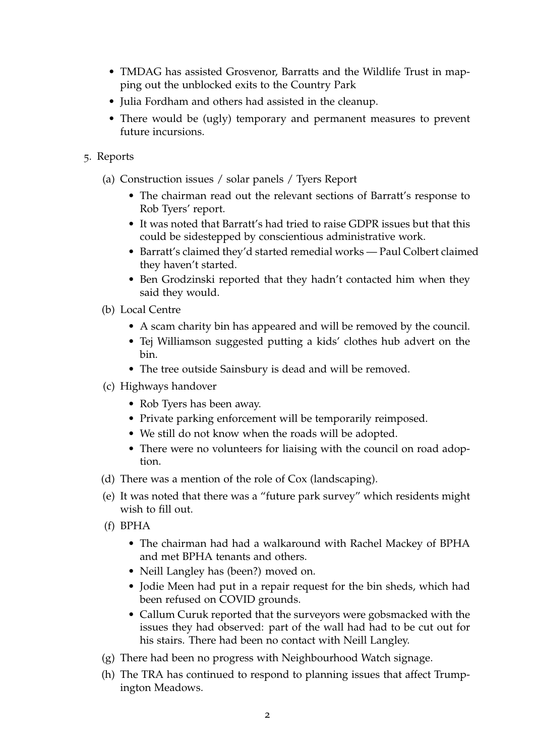- TMDAG has assisted Grosvenor, Barratts and the Wildlife Trust in mapping out the unblocked exits to the Country Park
- Julia Fordham and others had assisted in the cleanup.
- There would be (ugly) temporary and permanent measures to prevent future incursions.
- 5. Reports
	- (a) Construction issues / solar panels / Tyers Report
		- The chairman read out the relevant sections of Barratt's response to Rob Tyers' report.
		- It was noted that Barratt's had tried to raise GDPR issues but that this could be sidestepped by conscientious administrative work.
		- Barratt's claimed they'd started remedial works Paul Colbert claimed they haven't started.
		- Ben Grodzinski reported that they hadn't contacted him when they said they would.
	- (b) Local Centre
		- A scam charity bin has appeared and will be removed by the council.
		- Tej Williamson suggested putting a kids' clothes hub advert on the bin.
		- The tree outside Sainsbury is dead and will be removed.
	- (c) Highways handover
		- Rob Tyers has been away.
		- Private parking enforcement will be temporarily reimposed.
		- We still do not know when the roads will be adopted.
		- There were no volunteers for liaising with the council on road adoption.
	- (d) There was a mention of the role of Cox (landscaping).
	- (e) It was noted that there was a "future park survey" which residents might wish to fill out.
	- (f) BPHA
		- The chairman had had a walkaround with Rachel Mackey of BPHA and met BPHA tenants and others.
		- Neill Langley has (been?) moved on.
		- Jodie Meen had put in a repair request for the bin sheds, which had been refused on COVID grounds.
		- Callum Curuk reported that the surveyors were gobsmacked with the issues they had observed: part of the wall had had to be cut out for his stairs. There had been no contact with Neill Langley.
	- (g) There had been no progress with Neighbourhood Watch signage.
	- (h) The TRA has continued to respond to planning issues that affect Trumpington Meadows.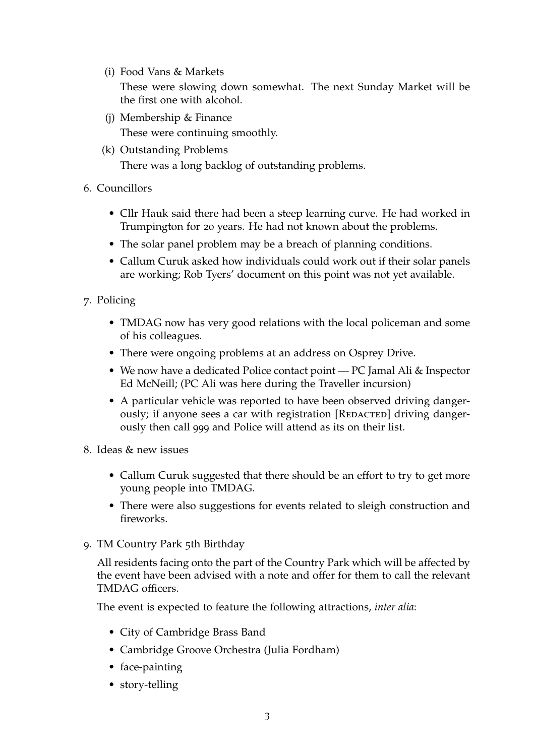(i) Food Vans & Markets

These were slowing down somewhat. The next Sunday Market will be the first one with alcohol.

- (j) Membership & Finance These were continuing smoothly.
- (k) Outstanding Problems

There was a long backlog of outstanding problems.

- 6. Councillors
	- Cllr Hauk said there had been a steep learning curve. He had worked in Trumpington for 20 years. He had not known about the problems.
	- The solar panel problem may be a breach of planning conditions.
	- Callum Curuk asked how individuals could work out if their solar panels are working; Rob Tyers' document on this point was not yet available.
- 7. Policing
	- TMDAG now has very good relations with the local policeman and some of his colleagues.
	- There were ongoing problems at an address on Osprey Drive.
	- We now have a dedicated Police contact point PC Jamal Ali & Inspector Ed McNeill; (PC Ali was here during the Traveller incursion)
	- A particular vehicle was reported to have been observed driving dangerously; if anyone sees a car with registration [REDACTED] driving dangerously then call 999 and Police will attend as its on their list.
- 8. Ideas & new issues
	- Callum Curuk suggested that there should be an effort to try to get more young people into TMDAG.
	- There were also suggestions for events related to sleigh construction and fireworks.
- 9. TM Country Park 5th Birthday

All residents facing onto the part of the Country Park which will be affected by the event have been advised with a note and offer for them to call the relevant TMDAG officers.

The event is expected to feature the following attractions, *inter alia*:

- City of Cambridge Brass Band
- Cambridge Groove Orchestra (Julia Fordham)
- face-painting
- story-telling